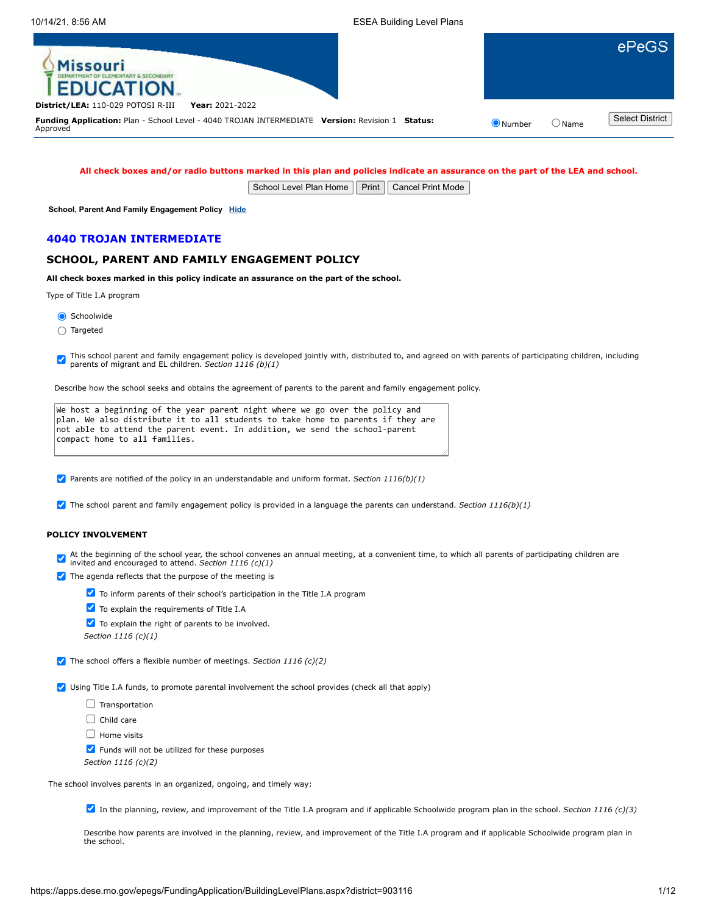| <b>Missouri</b><br><b>EDUCATION.</b>                                                                        |                |       | ePeGS                  |
|-------------------------------------------------------------------------------------------------------------|----------------|-------|------------------------|
| District/LEA: 110-029 POTOSI R-III<br>Year: 2021-2022                                                       |                |       |                        |
| Funding Application: Plan - School Level - 4040 TROJAN INTERMEDIATE Version: Revision 1 Status:<br>Approved | $\odot$ Number | ⊃Name | <b>Select District</b> |
|                                                                                                             |                |       |                        |

**All check boxes and/or radio buttons marked in this plan and policies indicate an assurance on the part of the LEA and school.**

School Level Plan Home | Print | Cancel Print Mode

**School, Parent And Family Engagement Policy [Hide](javascript:__doPostBack()**

### **4040 TROJAN INTERMEDIATE**

# **SCHOOL, PARENT AND FAMILY ENGAGEMENT POLICY**

**All check boxes marked in this policy indicate an assurance on the part of the school.**

Type of Title I.A program

Schoolwide

Targeted

This school parent and family engagement policy is developed jointly with, distributed to, and agreed on with parents of participating children, including parents of migrant and EL children. *Section 1116 (b)(1)*

Describe how the school seeks and obtains the agreement of parents to the parent and family engagement policy.

| We host a beginning of the year parent night where we go over the policy and             |
|------------------------------------------------------------------------------------------|
| $\alpha$ plan. We also distribute it to all students to take home to parents if they are |
| not able to attend the parent event. In addition, we send the school-parent              |
| compact home to all families.                                                            |
|                                                                                          |

Parents are notified of the policy in an understandable and uniform format. *Section 1116(b)(1)*

The school parent and family engagement policy is provided in a language the parents can understand. *Section 1116(b)(1)*

# **POLICY INVOLVEMENT**

At the beginning of the school year, the school convenes an annual meeting, at a convenient time, to which all parents of participating children are invited and encouraged to attend. *Section 1116 (c)(1)*

 $\sqrt{\phantom{a}}$  The agenda reflects that the purpose of the meeting is



To explain the requirements of Title I.A

To explain the right of parents to be involved.

*Section 1116 (c)(1)*

The school offers a flexible number of meetings. *Section 1116 (c)(2)*

Using Title I.A funds, to promote parental involvement the school provides (check all that apply)

 $\Box$  Transportation

 $\Box$  Child care

 $\Box$  Home visits

 $\blacktriangleright$  Funds will not be utilized for these purposes

*Section 1116 (c)(2)*

The school involves parents in an organized, ongoing, and timely way:

In the planning, review, and improvement of the Title I.A program and if applicable Schoolwide program plan in the school. *Section 1116 (c)(3)*

Describe how parents are involved in the planning, review, and improvement of the Title I.A program and if applicable Schoolwide program plan in the school.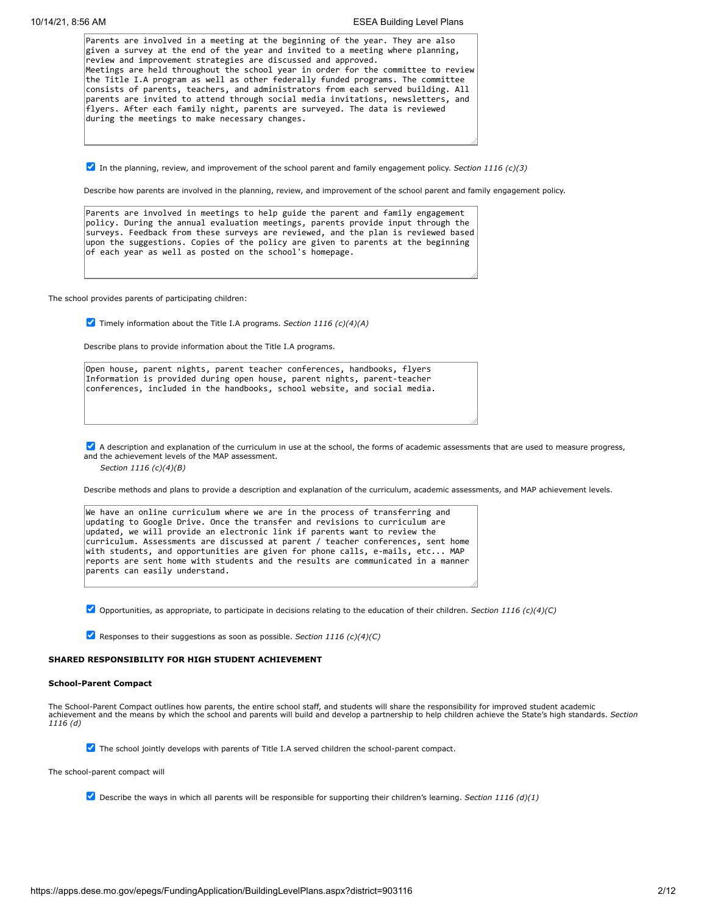| Parents are involved in a meeting at the beginning of the year. They are also                                                                                                                                                                                                                                                                                                            |
|------------------------------------------------------------------------------------------------------------------------------------------------------------------------------------------------------------------------------------------------------------------------------------------------------------------------------------------------------------------------------------------|
| given a survey at the end of the year and invited to a meeting where planning,                                                                                                                                                                                                                                                                                                           |
| review and improvement strategies are discussed and approved.                                                                                                                                                                                                                                                                                                                            |
| Meetings are held throughout the school year in order for the committee to review                                                                                                                                                                                                                                                                                                        |
| the Title I.A program as well as other federally funded programs. The committee<br>consists of parents, teachers, and administrators from each served building. All<br>parents are invited to attend through social media invitations, newsletters, and<br>flyers. After each family night, parents are surveyed. The data is reviewed<br>during the meetings to make necessary changes. |
|                                                                                                                                                                                                                                                                                                                                                                                          |

In the planning, review, and improvement of the school parent and family engagement policy. *Section 1116 (c)(3)*

Describe how parents are involved in the planning, review, and improvement of the school parent and family engagement policy.

Parents are involved in meetings to help guide the parent and family engagement policy. During the annual evaluation meetings, parents provide input through the surveys. Feedback from these surveys are reviewed, and the plan is reviewed based upon the suggestions. Copies of the policy are given to parents at the beginning of each year as well as posted on the school's homepage.

The school provides parents of participating children:

Timely information about the Title I.A programs. *Section 1116 (c)(4)(A)*

Describe plans to provide information about the Title I.A programs.

Open house, parent nights, parent teacher conferences, handbooks, flyers Information is provided during open house, parent nights, parent-teacher conferences, included in the handbooks, school website, and social media.

A description and explanation of the curriculum in use at the school, the forms of academic assessments that are used to measure progress, and the achievement levels of the MAP assessment.

*Section 1116 (c)(4)(B)*

Describe methods and plans to provide a description and explanation of the curriculum, academic assessments, and MAP achievement levels.

| We have an online curriculum where we are in the process of transferring and     |
|----------------------------------------------------------------------------------|
| updating to Google Drive. Once the transfer and revisions to curriculum are      |
| updated, we will provide an electronic link if parents want to review the        |
| curriculum. Assessments are discussed at parent / teacher conferences, sent home |
| with students, and opportunities are given for phone calls, e-mails, etc MAP     |
| reports are sent home with students and the results are communicated in a manner |
| parents can easily understand.                                                   |
|                                                                                  |

Opportunities, as appropriate, to participate in decisions relating to the education of their children. *Section 1116 (c)(4)(C)*

Responses to their suggestions as soon as possible. *Section 1116 (c)(4)(C)*

# **SHARED RESPONSIBILITY FOR HIGH STUDENT ACHIEVEMENT**

#### **School-Parent Compact**

The School-Parent Compact outlines how parents, the entire school staff, and students will share the responsibility for improved student academic achievement and the means by which the school and parents will build and develop a partnership to help children achieve the State's high standards. *Section 1116 (d)*

The school jointly develops with parents of Title I.A served children the school-parent compact.

The school-parent compact will

Describe the ways in which all parents will be responsible for supporting their children's learning. *Section 1116 (d)(1)*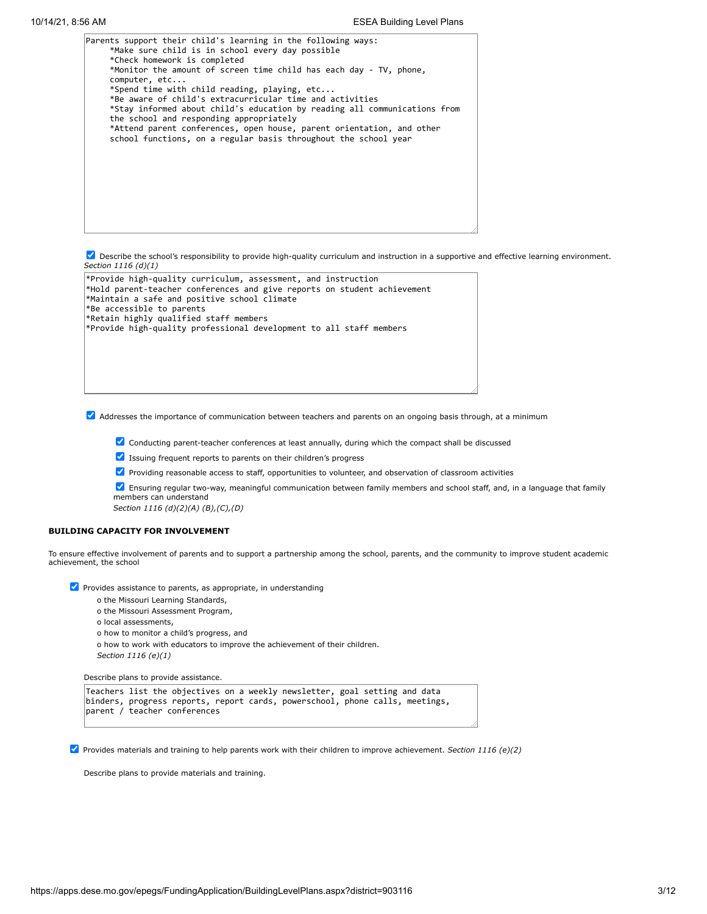| Parents support their child's learning in the following ways:<br>*Make sure child is in school every day possible<br>*Check homework is completed<br>*Monitor the amount of screen time child has each day - TV, phone,<br>computer, etc<br>*Spend time with child reading, playing, etc<br>*Be aware of child's extracurricular time and activities<br>*Stay informed about child's education by reading all communications from<br>the school and responding appropriately<br>*Attend parent conferences, open house, parent orientation, and other<br>school functions, on a regular basis throughout the school year |  |
|--------------------------------------------------------------------------------------------------------------------------------------------------------------------------------------------------------------------------------------------------------------------------------------------------------------------------------------------------------------------------------------------------------------------------------------------------------------------------------------------------------------------------------------------------------------------------------------------------------------------------|--|
|                                                                                                                                                                                                                                                                                                                                                                                                                                                                                                                                                                                                                          |  |

**Describe the school's responsibility to provide high-quality curriculum and instruction in a supportive and effective learning environment.** *Section 1116 (d)(1)*

\*Provide high-quality curriculum, assessment, and instruction \*Hold parent-teacher conferences and give reports on student achievement \*Maintain a safe and positive school climate \*Be accessible to parents \*Retain highly qualified staff members \*Provide high-quality professional development to all staff members

Addresses the importance of communication between teachers and parents on an ongoing basis through, at a minimum

- Conducting parent-teacher conferences at least annually, during which the compact shall be discussed
- Issuing frequent reports to parents on their children's progress
- **Providing reasonable access to staff, opportunities to volunteer, and observation of classroom activities**

Ensuring regular two-way, meaningful communication between family members and school staff, and, in a language that family members can understand *Section 1116 (d)(2)(A) (B),(C),(D)*

### **BUILDING CAPACITY FOR INVOLVEMENT**

To ensure effective involvement of parents and to support a partnership among the school, parents, and the community to improve student academic achievement, the school

 $\triangledown$  Provides assistance to parents, as appropriate, in understanding

- o the Missouri Learning Standards,
- o the Missouri Assessment Program,
- o local assessments,
- o how to monitor a child's progress, and
- o how to work with educators to improve the achievement of their children. *Section 1116 (e)(1)*

Describe plans to provide assistance.

```
Teachers list the objectives on a weekly newsletter, goal setting and data
binders, progress reports, report cards, powerschool, phone calls, meetings,
parent / teacher conferences
```
Provides materials and training to help parents work with their children to improve achievement. *Section 1116 (e)(2)*

Describe plans to provide materials and training.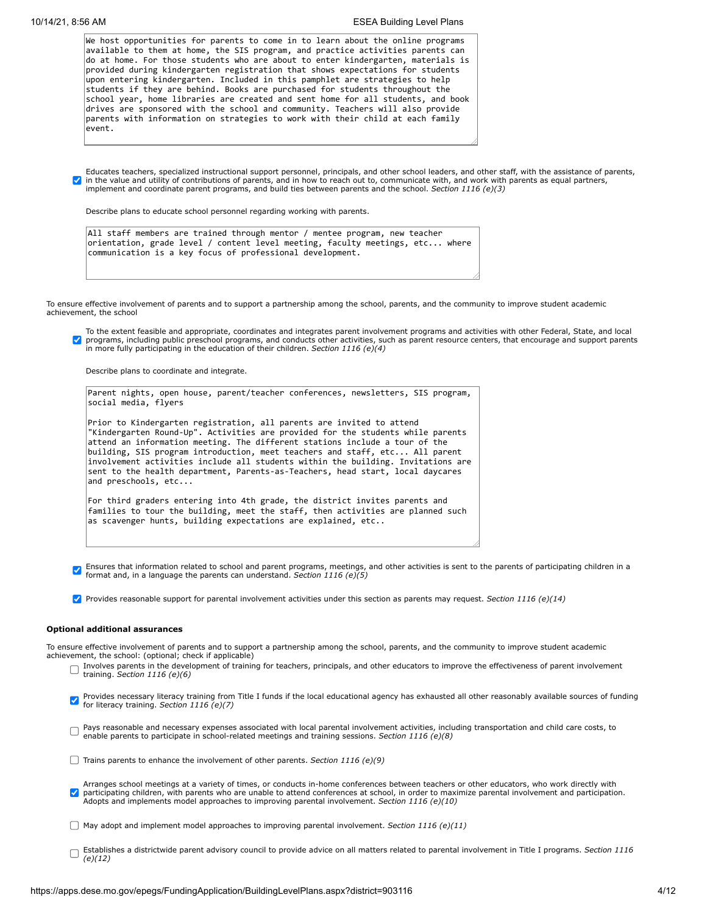|                      | We host opportunities for parents to come in to learn about the online programs<br>available to them at home, the SIS program, and practice activities parents can<br>do at home. For those students who are about to enter kindergarten, materials is<br>provided during kindergarten registration that shows expectations for students<br>upon entering kindergarten. Included in this pamphlet are strategies to help<br>students if they are behind. Books are purchased for students throughout the<br>school year, home libraries are created and sent home for all students, and book<br>drives are sponsored with the school and community. Teachers will also provide<br>parents with information on strategies to work with their child at each family<br>event. |
|----------------------|----------------------------------------------------------------------------------------------------------------------------------------------------------------------------------------------------------------------------------------------------------------------------------------------------------------------------------------------------------------------------------------------------------------------------------------------------------------------------------------------------------------------------------------------------------------------------------------------------------------------------------------------------------------------------------------------------------------------------------------------------------------------------|
|                      | Educates teachers, specialized instructional support personnel, principals, and other school leaders, and other staff, with the assistance of parents,                                                                                                                                                                                                                                                                                                                                                                                                                                                                                                                                                                                                                     |
|                      | in the value and utility of contributions of parents, and in how to reach out to, communicate with, and work with parents as equal partners,<br>implement and coordinate parent programs, and build ties between parents and the school. Section 1116 (e)(3)                                                                                                                                                                                                                                                                                                                                                                                                                                                                                                               |
|                      | Describe plans to educate school personnel regarding working with parents.                                                                                                                                                                                                                                                                                                                                                                                                                                                                                                                                                                                                                                                                                                 |
|                      | All staff members are trained through mentor / mentee program, new teacher<br>orientation, grade level / content level meeting, faculty meetings, etc where<br>communication is a key focus of professional development.                                                                                                                                                                                                                                                                                                                                                                                                                                                                                                                                                   |
|                      |                                                                                                                                                                                                                                                                                                                                                                                                                                                                                                                                                                                                                                                                                                                                                                            |
|                      | To ensure effective involvement of parents and to support a partnership among the school, parents, and the community to improve student academic<br>achievement, the school                                                                                                                                                                                                                                                                                                                                                                                                                                                                                                                                                                                                |
|                      | To the extent feasible and appropriate, coordinates and integrates parent involvement programs and activities with other Federal, State, and local<br>programs, including public preschool programs, and conducts other activities, such as parent resource centers, that encourage and support parents<br>in more fully participating in the education of their children. Section 1116 (e)(4)                                                                                                                                                                                                                                                                                                                                                                             |
|                      | Describe plans to coordinate and integrate.                                                                                                                                                                                                                                                                                                                                                                                                                                                                                                                                                                                                                                                                                                                                |
|                      | Parent nights, open house, parent/teacher conferences, newsletters, SIS program,<br>social media, flyers                                                                                                                                                                                                                                                                                                                                                                                                                                                                                                                                                                                                                                                                   |
|                      | Prior to Kindergarten registration, all parents are invited to attend<br>"Kindergarten Round-Up". Activities are provided for the students while parents<br>attend an information meeting. The different stations include a tour of the<br>building, SIS program introduction, meet teachers and staff, etc All parent<br>involvement activities include all students within the building. Invitations are<br>sent to the health department, Parents-as-Teachers, head start, local daycares<br>and preschools, etc                                                                                                                                                                                                                                                        |
|                      | For third graders entering into 4th grade, the district invites parents and<br>families to tour the building, meet the staff, then activities are planned such<br>as scavenger hunts, building expectations are explained, etc                                                                                                                                                                                                                                                                                                                                                                                                                                                                                                                                             |
|                      | Ensures that information related to school and parent programs, meetings, and other activities is sent to the parents of participating children in a<br>format and, in a language the parents can understand. Section $1116$ (e)(5)                                                                                                                                                                                                                                                                                                                                                                                                                                                                                                                                        |
|                      | Provides reasonable support for parental involvement activities under this section as parents may request. Section 1116 (e)(14)                                                                                                                                                                                                                                                                                                                                                                                                                                                                                                                                                                                                                                            |
|                      | <b>Optional additional assurances</b>                                                                                                                                                                                                                                                                                                                                                                                                                                                                                                                                                                                                                                                                                                                                      |
|                      | To ensure effective involvement of parents and to support a partnership among the school, parents, and the community to improve student academic<br>achievement, the school: (optional; check if applicable)<br>Involves parents in the development of training for teachers, principals, and other educators to improve the effectiveness of parent involvement<br>training. Section 1116 (e)(6)                                                                                                                                                                                                                                                                                                                                                                          |
|                      | Provides necessary literacy training from Title I funds if the local educational agency has exhausted all other reasonably available sources of funding<br>for literacy training. Section 1116 (e)(7)                                                                                                                                                                                                                                                                                                                                                                                                                                                                                                                                                                      |
|                      | Pays reasonable and necessary expenses associated with local parental involvement activities, including transportation and child care costs, to<br>enable parents to participate in school-related meetings and training sessions. Section 1116 (e)(8)                                                                                                                                                                                                                                                                                                                                                                                                                                                                                                                     |
|                      | Trains parents to enhance the involvement of other parents. Section 1116 (e)(9)                                                                                                                                                                                                                                                                                                                                                                                                                                                                                                                                                                                                                                                                                            |
| $\blacktriangledown$ | Arranges school meetings at a variety of times, or conducts in-home conferences between teachers or other educators, who work directly with<br>participating children, with parents who are unable to attend conferences at school, in order to maximize parental involvement and participation.<br>Adopts and implements model approaches to improving parental involvement. Section 1116 (e)(10)                                                                                                                                                                                                                                                                                                                                                                         |
|                      | May adopt and implement model approaches to improving parental involvement. Section 1116 (e)(11)                                                                                                                                                                                                                                                                                                                                                                                                                                                                                                                                                                                                                                                                           |
|                      | Establishes a districtwide parent advisory council to provide advice on all matters related to parental involvement in Title I programs. Section 1116<br>(e)(12)                                                                                                                                                                                                                                                                                                                                                                                                                                                                                                                                                                                                           |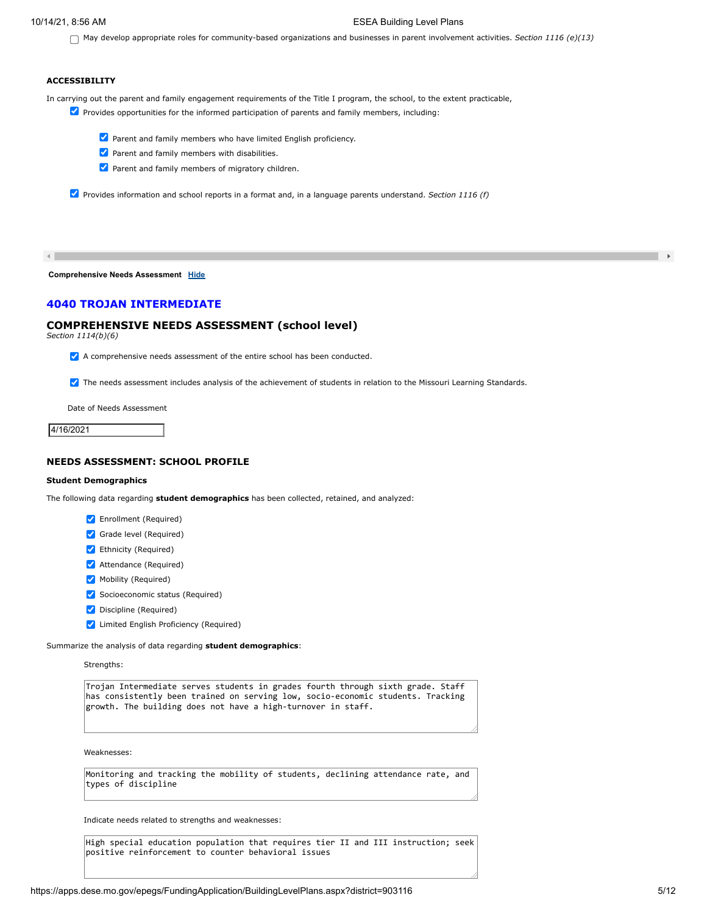#### 10/14/21, 8:56 AM ESEA Building Level Plans

May develop appropriate roles for community-based organizations and businesses in parent involvement activities. *Section 1116 (e)(13)*

# **ACCESSIBILITY**

In carrying out the parent and family engagement requirements of the Title I program, the school, to the extent practicable,

- **Provides opportunities for the informed participation of parents and family members, including:** 
	- Parent and family members who have limited English proficiency.
	- **Parent and family members with disabilities.**
	- **Parent and family members of migratory children.**

Provides information and school reports in a format and, in a language parents understand. *Section 1116 (f)*

 $\left| \cdot \right|$ 

**Comprehensive Needs Assessment [Hide](javascript:__doPostBack()**

# **4040 TROJAN INTERMEDIATE**

# **COMPREHENSIVE NEEDS ASSESSMENT (school level)**

*Section 1114(b)(6)*

 $\blacktriangleright$  A comprehensive needs assessment of the entire school has been conducted.

**The needs assessment includes analysis of the achievement of students in relation to the Missouri Learning Standards.** 

Date of Needs Assessment

4/16/2021

## **NEEDS ASSESSMENT: SCHOOL PROFILE**

### **Student Demographics**

The following data regarding **student demographics** has been collected, retained, and analyzed:

- **V** Enrollment (Required)
- Grade level (Required)
- Ethnicity (Required)
- **Attendance (Required)**
- Mobility (Required)
- Socioeconomic status (Required)
- Discipline (Required)
- **V** Limited English Proficiency (Required)

Summarize the analysis of data regarding **student demographics**:

Strengths:

Trojan Intermediate serves students in grades fourth through sixth grade. Staff has consistently been trained on serving low, socio-economic students. Tracking growth. The building does not have a high-turnover in staff.

Weaknesses:

Monitoring and tracking the mobility of students, declining attendance rate, and types of discipline

Indicate needs related to strengths and weaknesses:

High special education population that requires tier II and III instruction; seek positive reinforcement to counter behavioral issues

 $\,$   $\,$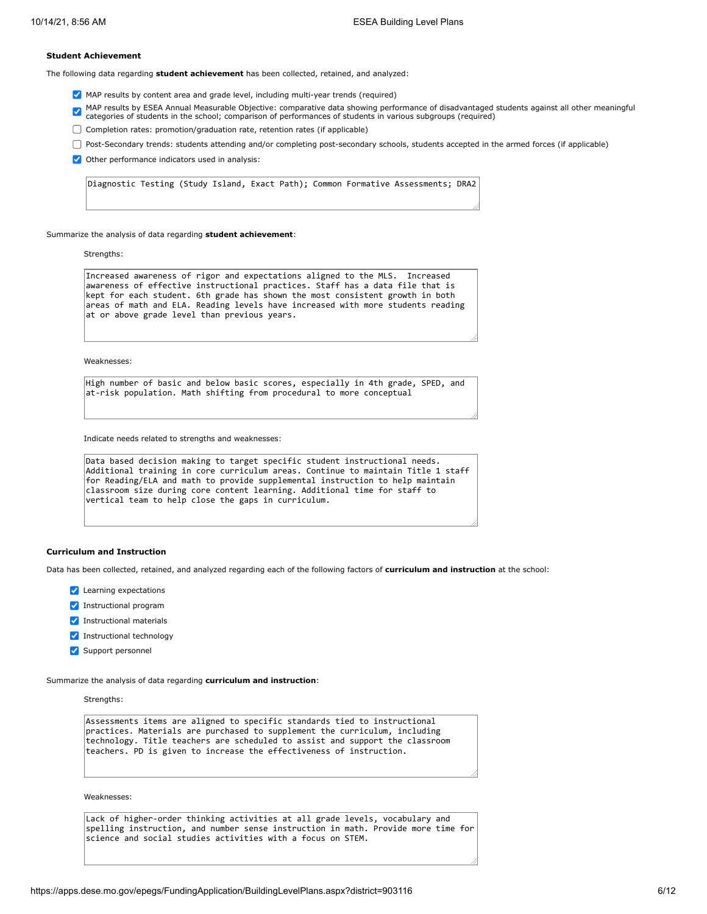### **Student Achievement**

The following data regarding **student achievement** has been collected, retained, and analyzed:

- MAP results by content area and grade level, including multi-year trends (required)
- MAP results by ESEA Annual Measurable Objective: comparative data showing performance of disadvantaged students against all other meaningful<br>categories of students in the school; comparison of performances of students in v
- Completion rates: promotion/graduation rate, retention rates (if applicable)
- Post-Secondary trends: students attending and/or completing post-secondary schools, students accepted in the armed forces (if applicable)
- $\vee$  Other performance indicators used in analysis:

Diagnostic Testing (Study Island, Exact Path); Common Formative Assessments; DRA2

Summarize the analysis of data regarding **student achievement**:

Strengths:

Increased awareness of rigor and expectations aligned to the MLS. Increased awareness of effective instructional practices. Staff has a data file that is kept for each student. 6th grade has shown the most consistent growth in both areas of math and ELA. Reading levels have increased with more students reading at or above grade level than previous years.

Weaknesses:

High number of basic and below basic scores, especially in 4th grade, SPED, and at-risk population. Math shifting from procedural to more conceptual

Indicate needs related to strengths and weaknesses:

```
Data based decision making to target specific student instructional needs.
Additional training in core curriculum areas. Continue to maintain Title 1 staff
for Reading/ELA and math to provide supplemental instruction to help maintain
classroom size during core content learning. Additional time for staff to
vertical team to help close the gaps in curriculum.
```
#### **Curriculum and Instruction**

Data has been collected, retained, and analyzed regarding each of the following factors of **curriculum and instruction** at the school:

- **V** Learning expectations
- **V** Instructional program
- **V** Instructional materials
- **V** Instructional technology
- Support personnel

Summarize the analysis of data regarding **curriculum and instruction**:

Strengths:

Assessments items are aligned to specific standards tied to instructional practices. Materials are purchased to supplement the curriculum, including technology. Title teachers are scheduled to assist and support the classroom teachers. PD is given to increase the effectiveness of instruction.

Weaknesses:

Lack of higher-order thinking activities at all grade levels, vocabulary and spelling instruction, and number sense instruction in math. Provide more time for science and social studies activities with a focus on STEM.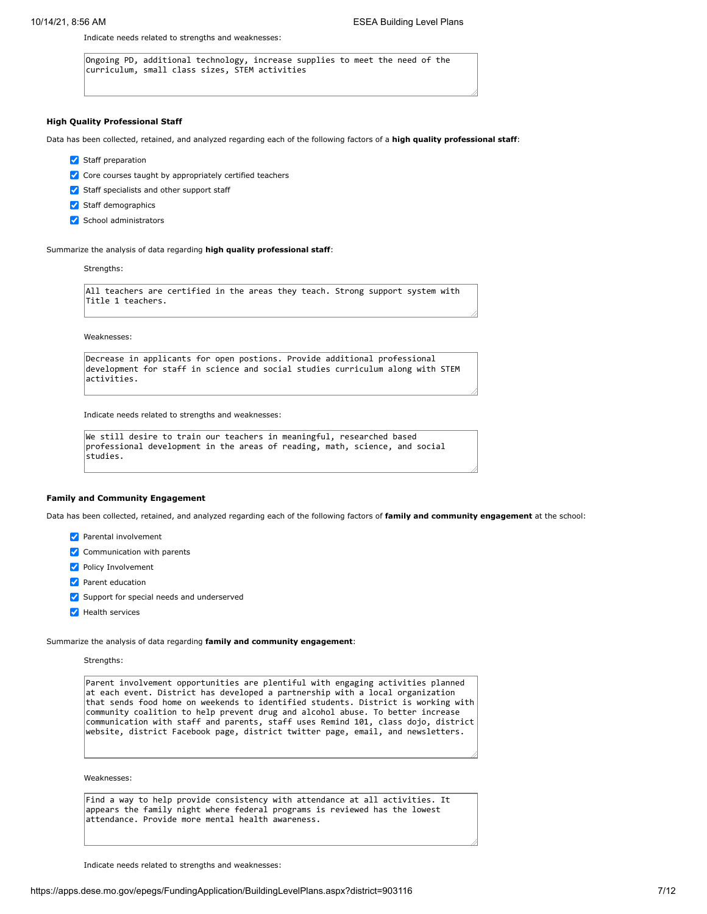Indicate needs related to strengths and weaknesses:

Ongoing PD, additional technology, increase supplies to meet the need of the curriculum, small class sizes, STEM activities

#### **High Quality Professional Staff**

Data has been collected, retained, and analyzed regarding each of the following factors of a **high quality professional staff**:

- Staff preparation
- $\vee$  Core courses taught by appropriately certified teachers
- Staff specialists and other support staff
- Staff demographics
- School administrators

Summarize the analysis of data regarding **high quality professional staff**:

#### Strengths:

All teachers are certified in the areas they teach. Strong support system with Title 1 teachers.

Weaknesses:

Decrease in applicants for open postions. Provide additional professional development for staff in science and social studies curriculum along with STEM activities.

Indicate needs related to strengths and weaknesses:

```
We still desire to train our teachers in meaningful, researched based
professional development in the areas of reading, math, science, and social
studies.
```
#### **Family and Community Engagement**

Data has been collected, retained, and analyzed regarding each of the following factors of **family and community engagement** at the school:

- **Parental involvement**
- $\triangledown$  Communication with parents
- **V** Policy Involvement
- **Parent education**
- Support for special needs and underserved
- Health services

Summarize the analysis of data regarding **family and community engagement**:

#### Strengths:

Parent involvement opportunities are plentiful with engaging activities planned at each event. District has developed a partnership with a local organization that sends food home on weekends to identified students. District is working with community coalition to help prevent drug and alcohol abuse. To better increase communication with staff and parents, staff uses Remind 101, class dojo, district website, district Facebook page, district twitter page, email, and newsletters.

Weaknesses:

Find a way to help provide consistency with attendance at all activities. It appears the family night where federal programs is reviewed has the lowest attendance. Provide more mental health awareness.

Indicate needs related to strengths and weaknesses: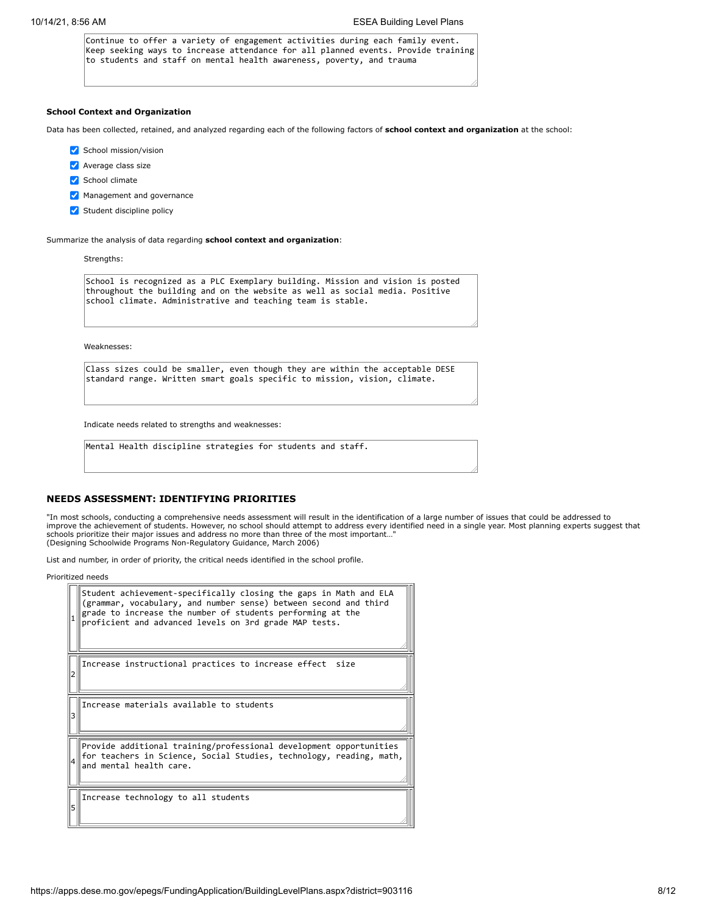Continue to offer a variety of engagement activities during each family event. Keep seeking ways to increase attendance for all planned events. Provide training to students and staff on mental health awareness, poverty, and trauma

#### **School Context and Organization**

Data has been collected, retained, and analyzed regarding each of the following factors of **school context and organization** at the school:

- School mission/vision
- **Average class size**
- School climate
- Management and governance
- Student discipline policy

Summarize the analysis of data regarding **school context and organization**:

Strengths:

School is recognized as a PLC Exemplary building. Mission and vision is posted throughout the building and on the website as well as social media. Positive school climate. Administrative and teaching team is stable.

Weaknesses:

Class sizes could be smaller, even though they are within the acceptable DESE standard range. Written smart goals specific to mission, vision, climate.

Indicate needs related to strengths and weaknesses:

Mental Health discipline strategies for students and staff.

#### **NEEDS ASSESSMENT: IDENTIFYING PRIORITIES**

"In most schools, conducting a comprehensive needs assessment will result in the identification of a large number of issues that could be addressed to improve the achievement of students. However, no school should attempt to address every identified need in a single year. Most planning experts suggest that schools prioritize their major issues and address no more than three of the most important…" (Designing Schoolwide Programs Non-Regulatory Guidance, March 2006)

List and number, in order of priority, the critical needs identified in the school profile.

Prioritized needs

1 2 3 4 5 Student achievement-specifically closing the gaps in Math and ELA (grammar, vocabulary, and number sense) between second and third  $\frac{1}{2}$  grade to increase the number of students performing at the proficient and advanced levels on 3rd grade MAP tests. Increase instructional practices to increase effect size Increase materials available to students Provide additional training/professional development opportunities for teachers in Science, Social Studies, technology, reading, math, and mental health care. Increase technology to all students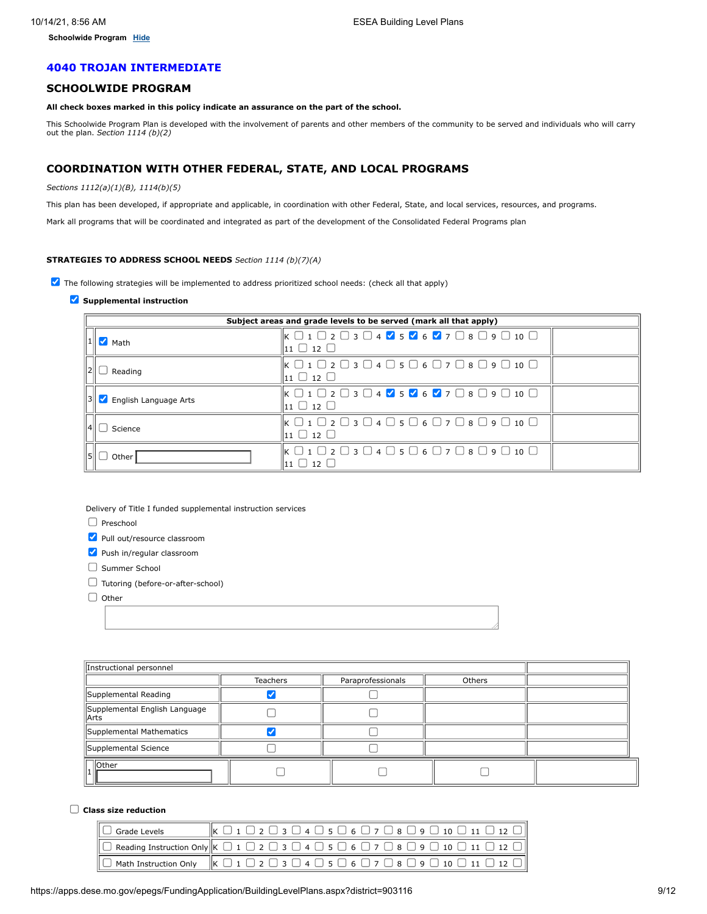**Schoolwide Program [Hide](javascript:__doPostBack()**

# **4040 TROJAN INTERMEDIATE**

# **SCHOOLWIDE PROGRAM**

# **All check boxes marked in this policy indicate an assurance on the part of the school.**

This Schoolwide Program Plan is developed with the involvement of parents and other members of the community to be served and individuals who will carry out the plan. *Section 1114 (b)(2)*

# **COORDINATION WITH OTHER FEDERAL, STATE, AND LOCAL PROGRAMS**

#### *Sections 1112(a)(1)(B), 1114(b)(5)*

This plan has been developed, if appropriate and applicable, in coordination with other Federal, State, and local services, resources, and programs.

Mark all programs that will be coordinated and integrated as part of the development of the Consolidated Federal Programs plan

# **STRATEGIES TO ADDRESS SCHOOL NEEDS** *Section 1114 (b)(7)(A)*

 $\Box$  The following strategies will be implemented to address prioritized school needs: (check all that apply)

### **Supplemental instruction**

|      | Subject areas and grade levels to be served (mark all that apply) |                                                                                                                                                                                                                         |  |  |  |  |
|------|-------------------------------------------------------------------|-------------------------------------------------------------------------------------------------------------------------------------------------------------------------------------------------------------------------|--|--|--|--|
|      | $1$ Math                                                          | $\mathbb{K}$ $\Box$ 1 $\Box$ 2 $\Box$ 3 $\Box$ 4 $\mathbb{V}$ 5 $\mathbb{V}$ 6 $\mathbb{V}$ 7 $\Box$ 8 $\Box$ 9 $\Box$ 10 $\Box$<br>$_{11}$ $\Box$ 12 $\Box$                                                            |  |  |  |  |
| 121  | Reading                                                           | $\Box$ math1 \Boxmath2 \Box 3 $\Box$ 4 $\Box$ 5 $\Box$ 6 $\Box$ 7 $\Box$ 8 $\Box$ 9 $\Box$ 10 $\Box$<br>$11 \cup 12 \cup$                                                                                               |  |  |  |  |
|      | English Language Arts                                             | $\mathsf{K} \ \Box \ 1 \ \Box \ 2 \ \Box \ 3 \ \Box \ 4 \ \blacksquare \ 5 \ \blacksquare \ 6 \ \blacksquare \ 7 \ \Box \ 8 \ \Box \ 9 \ \Box \ 10 \ \Box$<br>$\mathbf{11} \mathbf{1} \mathbf{1} \mathbf{2} \mathbf{1}$ |  |  |  |  |
|      | Science                                                           | $\Box$ math1 \Boxmath2 \Box3 $\Box$ 4 $\Box$ 5 $\Box$ 6 $\Box$ 7 $\Box$ 8 $\Box$ 9 $\Box$ 10 $\Box$<br>$11 \cup 12 \cup$                                                                                                |  |  |  |  |
| I5II | Other                                                             | $\mathsf{k} \ \Box \ 1 \ \Box \ 2 \ \Box \ 3 \ \Box \ 4 \ \Box \ 5 \ \Box \ 6 \ \Box \ 7 \ \Box \ 8 \ \Box \ 9 \ \Box \ 10 \ \Box$<br>$\cup$ 12 $\cup$                                                                  |  |  |  |  |

Delivery of Title I funded supplemental instruction services

 $\Box$  Preschool

Pull out/resource classroom

Push in/regular classroom

- $\Box$  Summer School
- Tutoring (before-or-after-school)

 $\Box$  Other

| Instructional personnel                        |  |  |  |  |
|------------------------------------------------|--|--|--|--|
| <b>Teachers</b><br>Paraprofessionals<br>Others |  |  |  |  |
| Supplemental Reading                           |  |  |  |  |
| Supplemental English Language<br>llArts        |  |  |  |  |
| Supplemental Mathematics                       |  |  |  |  |
| Supplemental Science                           |  |  |  |  |
| llOther                                        |  |  |  |  |

### **Class size reduction**

| $\Box$ Grade Levels | $\left\  \mathbf{K} \ \Box \ 1 \ \Box \ 2 \ \Box \ 3 \ \Box \ 4 \ \Box \ 5 \ \Box \ 6 \ \Box \ 7 \ \Box \ 8 \ \Box \ 9 \ \Box \ 10 \ \Box \ 11 \ \Box \ 12 \ \Box \right\ $ |
|---------------------|-----------------------------------------------------------------------------------------------------------------------------------------------------------------------------|
|                     | $\ \Box$ Reading Instruction Only $\ \kappa\ \Box\ 1\ \Box\ 2\ \Box\ 3\ \Box\ 4\ \Box\ 5\ \Box\ 6\ \Box\ 7\ \Box\ 8\ \Box\ 9\ \Box\ 10\ \Box\ 11\ \Box\ 12\ \Box\ $         |
|                     | $\Box$ Math Instruction Only $\ K \Box 1 \Box 2 \Box 3 \Box 4 \Box 5 \Box 6 \Box 7 \Box 8 \Box 9 \Box 10 \Box 11 \Box 12 \Box \ $                                           |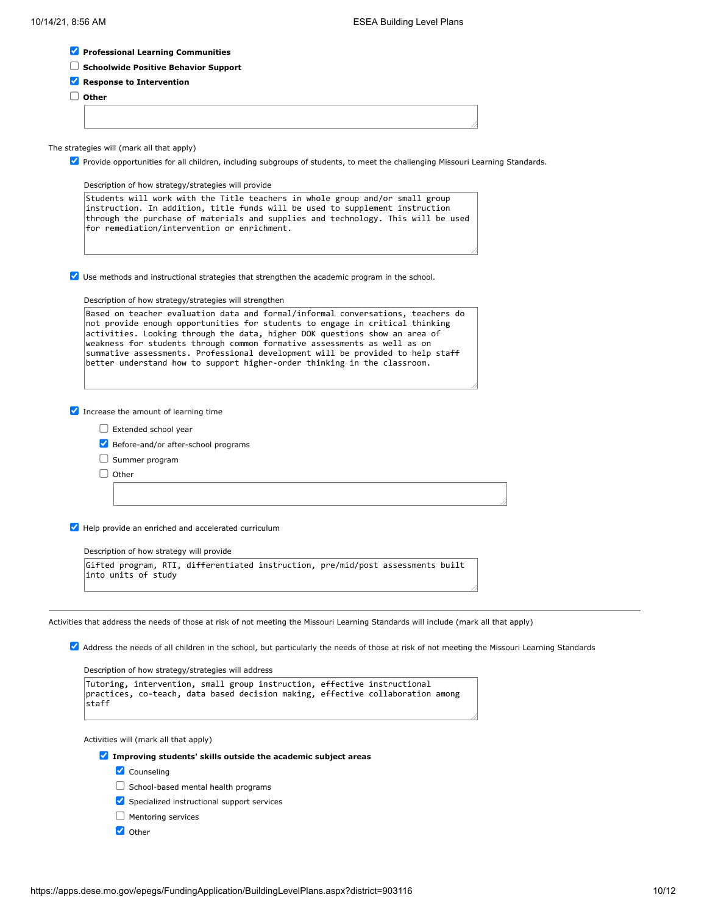|  |  |  | Professional Learning Communities |
|--|--|--|-----------------------------------|
|--|--|--|-----------------------------------|

- **Schoolwide Positive Behavior Support**
- **Response to Intervention**

**Other**

The strategies will (mark all that apply)

Provide opportunities for all children, including subgroups of students, to meet the challenging Missouri Learning Standards.

Description of how strategy/strategies will provide Students will work with the Title teachers in whole group and/or small group instruction. In addition, title funds will be used to supplement instruction

|                                             |  | through the purchase of materials and supplies and technology. This will be used |  |
|---------------------------------------------|--|----------------------------------------------------------------------------------|--|
| for remediation/intervention or enrichment. |  |                                                                                  |  |

 $\blacktriangledown$  Use methods and instructional strategies that strengthen the academic program in the school.

Description of how strategy/strategies will strengthen

| Based on teacher evaluation data and formal/informal conversations, teachers do |
|---------------------------------------------------------------------------------|
| not provide enough opportunities for students to engage in critical thinking    |
| activities. Looking through the data, higher DOK questions show an area of      |
| weakness for students through common formative assessments as well as on        |
| summative assessments. Professional development will be provided to help staff  |
| better understand how to support higher-order thinking in the classroom.        |

 $\blacksquare$  Increase the amount of learning time

- Extended school year
- Before-and/or after-school programs
- $\Box$  Summer program

 $\Box$  Other

Help provide an enriched and accelerated curriculum

Description of how strategy will provide

|                     | Gifted program, RTI, differentiated instruction, pre/mid/post assessments built |  |  |
|---------------------|---------------------------------------------------------------------------------|--|--|
| into units of study |                                                                                 |  |  |

Activities that address the needs of those at risk of not meeting the Missouri Learning Standards will include (mark all that apply)

Address the needs of all children in the school, but particularly the needs of those at risk of not meeting the Missouri Learning Standards

Description of how strategy/strategies will address

```
Tutoring, intervention, small group instruction, effective instructional
practices, co-teach, data based decision making, effective collaboration among
|\mathsf{start}|
```
Activities will (mark all that apply)

- **Improving students' skills outside the academic subject areas**
	- **V** Counseling
	- $\Box$  School-based mental health programs
	- Specialized instructional support services
	- $\Box$  Mentoring services
	- Other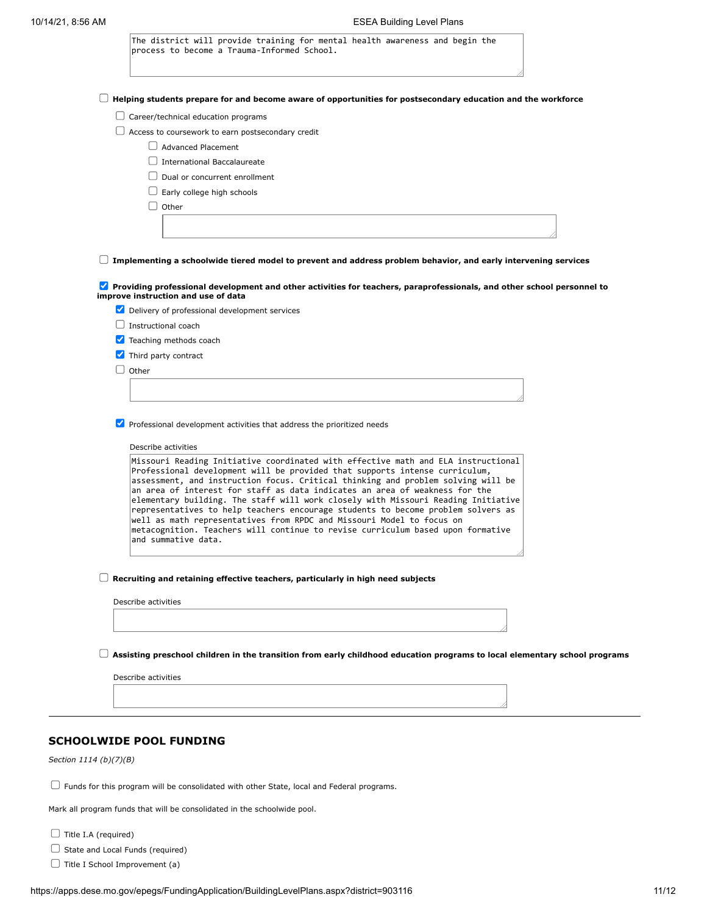| Helping students prepare for and become aware of opportunities for postsecondary education and the workforce                                                                                                                                                                                                                                                                                                                                                                                                                                                                                                                                                             |
|--------------------------------------------------------------------------------------------------------------------------------------------------------------------------------------------------------------------------------------------------------------------------------------------------------------------------------------------------------------------------------------------------------------------------------------------------------------------------------------------------------------------------------------------------------------------------------------------------------------------------------------------------------------------------|
| $\Box$ Career/technical education programs                                                                                                                                                                                                                                                                                                                                                                                                                                                                                                                                                                                                                               |
| $\Box$ Access to coursework to earn postsecondary credit                                                                                                                                                                                                                                                                                                                                                                                                                                                                                                                                                                                                                 |
| <b>Advanced Placement</b>                                                                                                                                                                                                                                                                                                                                                                                                                                                                                                                                                                                                                                                |
| $\Box$ International Baccalaureate                                                                                                                                                                                                                                                                                                                                                                                                                                                                                                                                                                                                                                       |
| Dual or concurrent enrollment                                                                                                                                                                                                                                                                                                                                                                                                                                                                                                                                                                                                                                            |
| Early college high schools                                                                                                                                                                                                                                                                                                                                                                                                                                                                                                                                                                                                                                               |
| $\cup$ Other                                                                                                                                                                                                                                                                                                                                                                                                                                                                                                                                                                                                                                                             |
|                                                                                                                                                                                                                                                                                                                                                                                                                                                                                                                                                                                                                                                                          |
|                                                                                                                                                                                                                                                                                                                                                                                                                                                                                                                                                                                                                                                                          |
|                                                                                                                                                                                                                                                                                                                                                                                                                                                                                                                                                                                                                                                                          |
| Implementing a schoolwide tiered model to prevent and address problem behavior, and early intervening services                                                                                                                                                                                                                                                                                                                                                                                                                                                                                                                                                           |
| Providing professional development and other activities for teachers, paraprofessionals, and other school personnel to                                                                                                                                                                                                                                                                                                                                                                                                                                                                                                                                                   |
| improve instruction and use of data                                                                                                                                                                                                                                                                                                                                                                                                                                                                                                                                                                                                                                      |
| Delivery of professional development services                                                                                                                                                                                                                                                                                                                                                                                                                                                                                                                                                                                                                            |
| $\Box$ Instructional coach                                                                                                                                                                                                                                                                                                                                                                                                                                                                                                                                                                                                                                               |
| Teaching methods coach                                                                                                                                                                                                                                                                                                                                                                                                                                                                                                                                                                                                                                                   |
| Third party contract                                                                                                                                                                                                                                                                                                                                                                                                                                                                                                                                                                                                                                                     |
| Other                                                                                                                                                                                                                                                                                                                                                                                                                                                                                                                                                                                                                                                                    |
|                                                                                                                                                                                                                                                                                                                                                                                                                                                                                                                                                                                                                                                                          |
|                                                                                                                                                                                                                                                                                                                                                                                                                                                                                                                                                                                                                                                                          |
| Professional development activities that address the prioritized needs                                                                                                                                                                                                                                                                                                                                                                                                                                                                                                                                                                                                   |
|                                                                                                                                                                                                                                                                                                                                                                                                                                                                                                                                                                                                                                                                          |
| Describe activities                                                                                                                                                                                                                                                                                                                                                                                                                                                                                                                                                                                                                                                      |
| Missouri Reading Initiative coordinated with effective math and ELA instructional<br>Professional development will be provided that supports intense curriculum,<br>assessment, and instruction focus. Critical thinking and problem solving will be<br>an area of interest for staff as data indicates an area of weakness for the<br>elementary building. The staff will work closely with Missouri Reading Initiative<br>representatives to help teachers encourage students to become problem solvers as<br>well as math representatives from RPDC and Missouri Model to focus on<br>metacognition. Teachers will continue to revise curriculum based upon formative |
| and summative data.                                                                                                                                                                                                                                                                                                                                                                                                                                                                                                                                                                                                                                                      |
| Recruiting and retaining effective teachers, particularly in high need subjects                                                                                                                                                                                                                                                                                                                                                                                                                                                                                                                                                                                          |
| Describe activities                                                                                                                                                                                                                                                                                                                                                                                                                                                                                                                                                                                                                                                      |
|                                                                                                                                                                                                                                                                                                                                                                                                                                                                                                                                                                                                                                                                          |

# **SCHOOLWIDE POOL FUNDING**

*Section 1114 (b)(7)(B)*

 $\Box$  Funds for this program will be consolidated with other State, local and Federal programs.

Mark all program funds that will be consolidated in the schoolwide pool.

 $\Box$  Title I.A (required)

 $\Box$  State and Local Funds (required)

 $\Box$  Title I School Improvement (a)